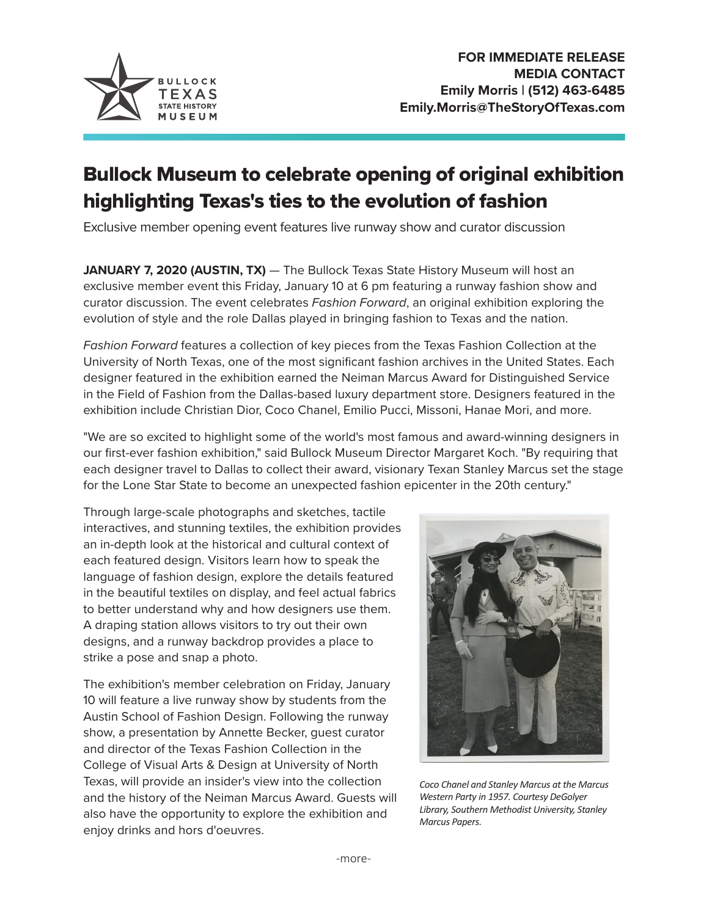

## Bullock Museum to celebrate opening of original exhibition highlighting Texas's ties to the evolution of fashion

Exclusive member opening event features live runway show and curator discussion

**JANUARY 7, 2020 (AUSTIN, TX)** — The Bullock Texas State History Museum will host an exclusive member event this Friday, January 10 at 6 pm featuring a runway fashion show and curator discussion. The event celebrates *Fashion Forward*, an original exhibition exploring the evolution of style and the role Dallas played in bringing fashion to Texas and the nation.

*Fashion Forward* features a collection of key pieces from the Texas Fashion Collection at the University of North Texas, one of the most significant fashion archives in the United States. Each designer featured in the exhibition earned the Neiman Marcus Award for Distinguished Service in the Field of Fashion from the Dallas-based luxury department store. Designers featured in the exhibition include Christian Dior, Coco Chanel, Emilio Pucci, Missoni, Hanae Mori, and more.

"We are so excited to highlight some of the world's most famous and award-winning designers in our first-ever fashion exhibition," said Bullock Museum Director Margaret Koch. "By requiring that each designer travel to Dallas to collect their award, visionary Texan Stanley Marcus set the stage for the Lone Star State to become an unexpected fashion epicenter in the 20th century."

Through large-scale photographs and sketches, tactile interactives, and stunning textiles, the exhibition provides an in-depth look at the historical and cultural context of each featured design. Visitors learn how to speak the language of fashion design, explore the details featured in the beautiful textiles on display, and feel actual fabrics to better understand why and how designers use them. A draping station allows visitors to try out their own designs, and a runway backdrop provides a place to strike a pose and snap a photo.

The exhibition's member celebration on Friday, January 10 will feature a live runway show by students from the Austin School of Fashion Design. Following the runway show, a presentation by Annette Becker, guest curator and director of the Texas Fashion Collection in the College of Visual Arts & Design at University of North Texas, will provide an insider's view into the collection and the history of the Neiman Marcus Award. Guests will also have the opportunity to explore the exhibition and enjoy drinks and hors d'oeuvres.



*Coco Chanel and Stanley Marcus at the Marcus Western Party in 1957. Courtesy DeGolyer Library, Southern Methodist University, Stanley Marcus Papers.*